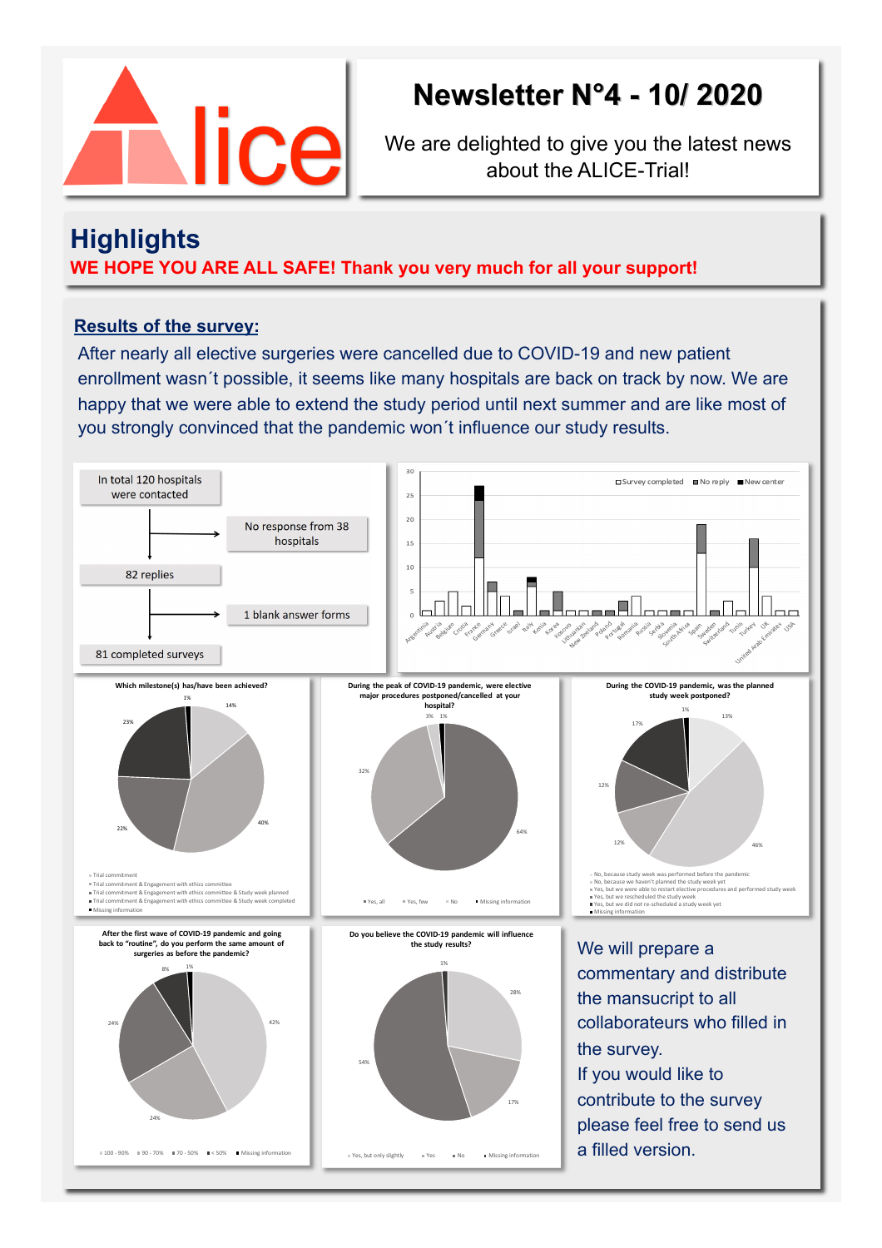

# **Newsletter N°4 - 10/ 2020**

We are delighted to give you the latest news about the ALICE-Trial!

### **Highlights**

**WE HOPE YOU ARE ALL SAFE! Thank you very much for all your support!** 

### **Results of the survey:**

After nearly all elective surgeries were cancelled due to COVID-19 and new patient enrollment wasn´t possible, it seems like many hospitals are back on track by now. We are happy that we were able to extend the study period until next summer and are like most of you strongly convinced that the pandemic won´t influence our study results.